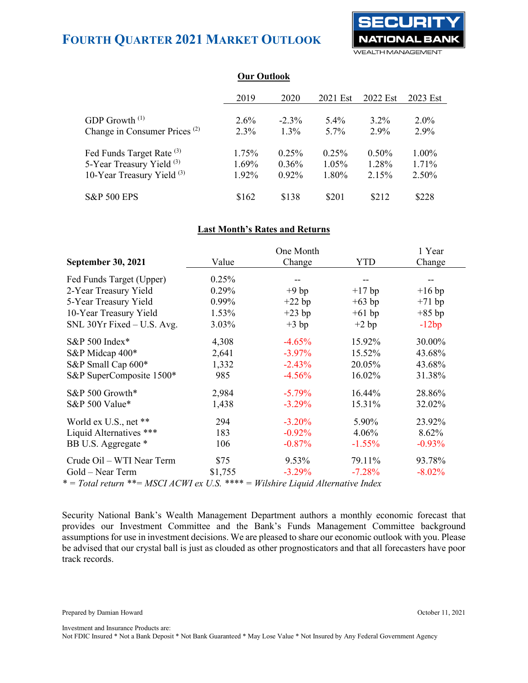

|                                          | Vur Vuuvok |          |          |          |          |
|------------------------------------------|------------|----------|----------|----------|----------|
|                                          | 2019       | 2020     | 2021 Est | 2022 Est | 2023 Est |
|                                          |            |          |          |          |          |
| GDP Growth <sup>(1)</sup>                | $2.6\%$    | $-2.3\%$ | $5.4\%$  | $3.2\%$  | $2.0\%$  |
| Change in Consumer Prices <sup>(2)</sup> | $2.3\%$    | $1.3\%$  | $5.7\%$  | $2.9\%$  | 2.9%     |
| Fed Funds Target Rate (3)                | 1.75%      | 0.25%    | 0.25%    | $0.50\%$ | $1.00\%$ |
| 5-Year Treasury Yield (3)                | $1.69\%$   | $0.36\%$ | $1.05\%$ | 1.28%    | $1.71\%$ |
| 10-Year Treasury Yield $(3)$             | 1.92%      | $0.92\%$ | 1.80%    | 2.15%    | $2.50\%$ |
| <b>S&amp;P 500 EPS</b>                   | \$162      | \$138    | \$201    | \$212    | \$228    |

**Our Outlook**

### **Last Month's Rates and Returns**

|                                                                                       | One Month |           |            | 1 Year   |  |
|---------------------------------------------------------------------------------------|-----------|-----------|------------|----------|--|
| <b>September 30, 2021</b>                                                             | Value     | Change    | <b>YTD</b> | Change   |  |
| Fed Funds Target (Upper)                                                              | 0.25%     |           |            |          |  |
| 2-Year Treasury Yield                                                                 | 0.29%     | $+9$ bp   | $+17$ bp   | $+16$ bp |  |
| 5-Year Treasury Yield                                                                 | 0.99%     | $+22$ bp  | $+63$ bp   | $+71$ bp |  |
| 10-Year Treasury Yield                                                                | 1.53%     | $+23$ bp  | $+61$ bp   | $+85$ bp |  |
| SNL 30Yr Fixed - U.S. Avg.                                                            | 3.03%     | $+3 bp$   | $+2 bp$    | $-12bp$  |  |
| S&P 500 Index*                                                                        | 4,308     | $-4.65%$  | 15.92%     | 30.00%   |  |
| S&P Midcap 400*                                                                       | 2,641     | $-3.97\%$ | 15.52%     | 43.68%   |  |
| S&P Small Cap 600*                                                                    | 1,332     | $-2.43%$  | 20.05%     | 43.68%   |  |
| S&P SuperComposite 1500*                                                              | 985       | $-4.56%$  | 16.02%     | 31.38%   |  |
| S&P 500 Growth*                                                                       | 2,984     | $-5.79\%$ | 16.44%     | 28.86%   |  |
| S&P 500 Value*                                                                        | 1,438     | $-3.29\%$ | 15.31%     | 32.02%   |  |
| World ex U.S., net **                                                                 | 294       | $-3.20%$  | 5.90%      | 23.92%   |  |
| Liquid Alternatives ***                                                               | 183       | $-0.92%$  | 4.06%      | 8.62%    |  |
| BB U.S. Aggregate *                                                                   | 106       | $-0.87%$  | $-1.55%$   | $-0.93%$ |  |
| Crude Oil – WTI Near Term                                                             | \$75      | 9.53%     | 79.11%     | 93.78%   |  |
| Gold – Near Term                                                                      | \$1,755   | $-3.29%$  | $-7.28%$   | $-8.02%$ |  |
| $*$ = Total return $**$ = MSCI ACWI ex U.S. $***$ = Wilshire Liquid Alternative Index |           |           |            |          |  |

Security National Bank's Wealth Management Department authors a monthly economic forecast that provides our Investment Committee and the Bank's Funds Management Committee background assumptions for use in investment decisions. We are pleased to share our economic outlook with you. Please be advised that our crystal ball is just as clouded as other prognosticators and that all forecasters have poor track records.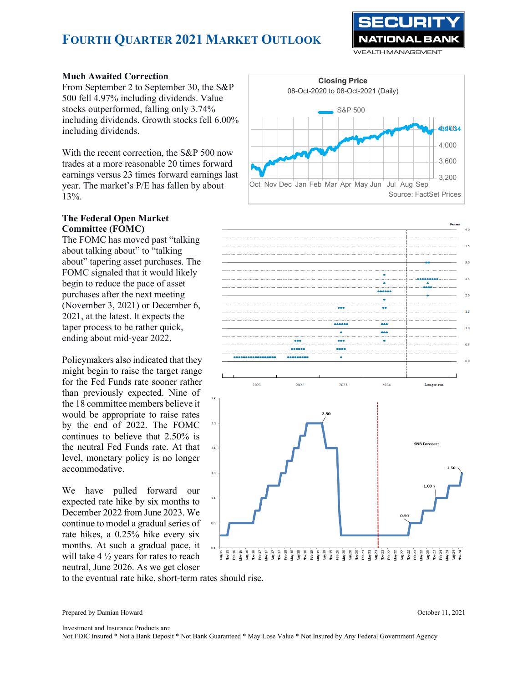

### **Much Awaited Correction**

From September 2 to September 30, the S&P 500 fell 4.97% including dividends. Value stocks outperformed, falling only 3.74% including dividends. Growth stocks fell 6.00% including dividends.

With the recent correction, the S&P 500 now trades at a more reasonable 20 times forward earnings versus 23 times forward earnings last year. The market's P/E has fallen by about 13%.

### **The Federal Open Market Committee (FOMC)**

The FOMC has moved past "talking about talking about" to "talking about" tapering asset purchases. The FOMC signaled that it would likely begin to reduce the pace of asset purchases after the next meeting (November 3, 2021) or December 6, 2021, at the latest. It expects the taper process to be rather quick, ending about mid-year 2022.

Policymakers also indicated that they might begin to raise the target range for the Fed Funds rate sooner rather than previously expected. Nine of the 18 committee members believe it would be appropriate to raise rates by the end of 2022. The FOMC continues to believe that 2.50% is the neutral Fed Funds rate. At that level, monetary policy is no longer accommodative.

We have pulled forward our expected rate hike by six months to December 2022 from June 2023. We continue to model a gradual series of rate hikes, a 0.25% hike every six months. At such a gradual pace, it will take 4 ½ years for rates to reach neutral, June 2026. As we get closer





to the eventual rate hike, short-term rates should rise.

Prepared by Damian Howard October 11, 2021

Investment and Insurance Products are: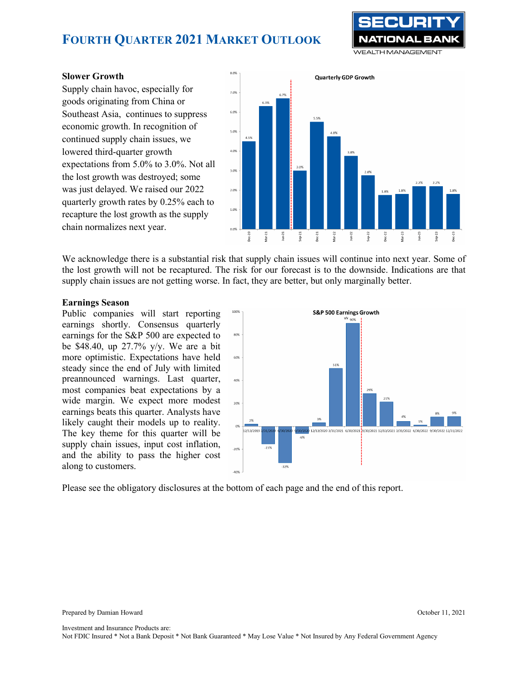

### **Slower Growth**

Supply chain havoc, especially for goods originating from China or Southeast Asia, continues to suppress economic growth. In recognition of continued supply chain issues, we lowered third-quarter growth expectations from 5.0% to 3.0%. Not all the lost growth was destroyed; some was just delayed. We raised our 2022 quarterly growth rates by 0.25% each to recapture the lost growth as the supply chain normalizes next year.



We acknowledge there is a substantial risk that supply chain issues will continue into next year. Some of the lost growth will not be recaptured. The risk for our forecast is to the downside. Indications are that supply chain issues are not getting worse. In fact, they are better, but only marginally better.

### **Earnings Season**

Public companies will start reporting earnings shortly. Consensus quarterly earnings for the S&P 500 are expected to be \$48.40, up 27.7% y/y. We are a bit more optimistic. Expectations have held steady since the end of July with limited preannounced warnings. Last quarter, most companies beat expectations by a wide margin. We expect more modest earnings beats this quarter. Analysts have likely caught their models up to reality. The key theme for this quarter will be supply chain issues, input cost inflation, and the ability to pass the higher cost along to customers.



Please see the obligatory disclosures at the bottom of each page and the end of this report.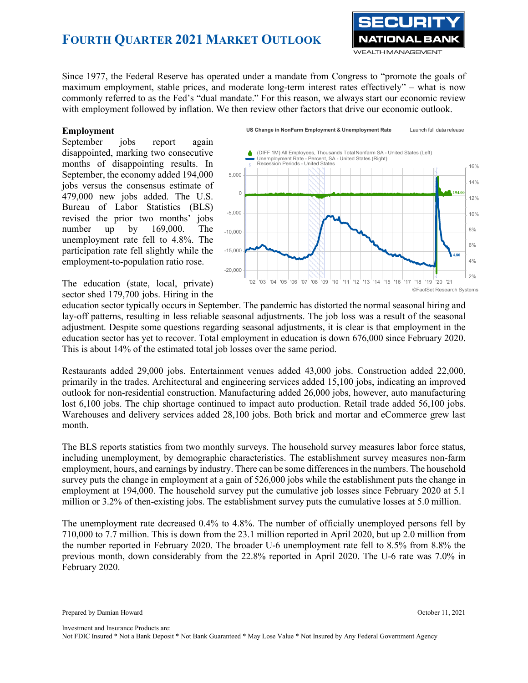

Since 1977, the Federal Reserve has operated under a mandate from Congress to "promote the goals of maximum employment, stable prices, and moderate long-term interest rates effectively" – what is now commonly referred to as the Fed's "dual mandate." For this reason, we always start our economic review with employment followed by inflation. We then review other factors that drive our economic outlook.

#### **Employment**

September jobs report again disappointed, marking two consecutive months of disappointing results. In September, the economy added 194,000 jobs versus the consensus estimate of 479,000 new jobs added. The U.S. Bureau of Labor Statistics (BLS) revised the prior two months' jobs number up by 169,000. The unemployment rate fell to 4.8%. The participation rate fell slightly while the employment-to-population ratio rose.



The education (state, local, private) sector shed 179,700 jobs. Hiring in the

education sector typically occurs in September. The pandemic has distorted the normal seasonal hiring and lay-off patterns, resulting in less reliable seasonal adjustments. The job loss was a result of the seasonal adjustment. Despite some questions regarding seasonal adjustments, it is clear is that employment in the education sector has yet to recover. Total employment in education is down 676,000 since February 2020. This is about 14% of the estimated total job losses over the same period.

Restaurants added 29,000 jobs. Entertainment venues added 43,000 jobs. Construction added 22,000, primarily in the trades. Architectural and engineering services added 15,100 jobs, indicating an improved outlook for non-residential construction. Manufacturing added 26,000 jobs, however, auto manufacturing lost 6,100 jobs. The chip shortage continued to impact auto production. Retail trade added 56,100 jobs. Warehouses and delivery services added 28,100 jobs. Both brick and mortar and eCommerce grew last month.

The BLS reports statistics from two monthly surveys. The household survey measures labor force status, including unemployment, by demographic characteristics. The establishment survey measures non-farm employment, hours, and earnings by industry. There can be some differences in the numbers. The household survey puts the change in employment at a gain of 526,000 jobs while the establishment puts the change in employment at 194,000. The household survey put the cumulative job losses since February 2020 at 5.1 million or 3.2% of then-existing jobs. The establishment survey puts the cumulative losses at 5.0 million.

The unemployment rate decreased 0.4% to 4.8%. The number of officially unemployed persons fell by 710,000 to 7.7 million. This is down from the 23.1 million reported in April 2020, but up 2.0 million from the number reported in February 2020. The broader U-6 unemployment rate fell to 8.5% from 8.8% the previous month, down considerably from the 22.8% reported in April 2020. The U-6 rate was 7.0% in February 2020.

Prepared by Damian Howard October 11, 2021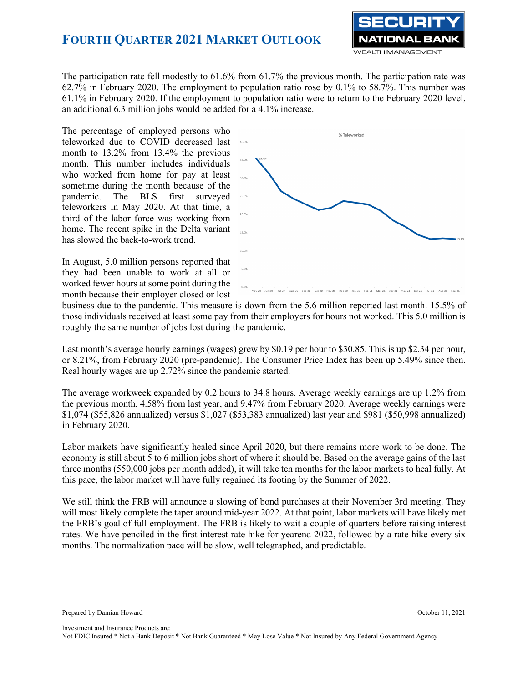

The participation rate fell modestly to 61.6% from 61.7% the previous month. The participation rate was 62.7% in February 2020. The employment to population ratio rose by 0.1% to 58.7%. This number was 61.1% in February 2020. If the employment to population ratio were to return to the February 2020 level, an additional 6.3 million jobs would be added for a 4.1% increase.

The percentage of employed persons who teleworked due to COVID decreased last month to 13.2% from 13.4% the previous month. This number includes individuals who worked from home for pay at least sometime during the month because of the pandemic. The BLS first surveyed teleworkers in May 2020. At that time, a third of the labor force was working from home. The recent spike in the Delta variant has slowed the back-to-work trend.

In August, 5.0 million persons reported that they had been unable to work at all or worked fewer hours at some point during the month because their employer closed or lost



business due to the pandemic. This measure is down from the 5.6 million reported last month. 15.5% of those individuals received at least some pay from their employers for hours not worked. This 5.0 million is roughly the same number of jobs lost during the pandemic.

Last month's average hourly earnings (wages) grew by \$0.19 per hour to \$30.85. This is up \$2.34 per hour, or 8.21%, from February 2020 (pre-pandemic). The Consumer Price Index has been up 5.49% since then. Real hourly wages are up 2.72% since the pandemic started.

The average workweek expanded by 0.2 hours to 34.8 hours. Average weekly earnings are up 1.2% from the previous month, 4.58% from last year, and 9.47% from February 2020. Average weekly earnings were \$1,074 (\$55,826 annualized) versus \$1,027 (\$53,383 annualized) last year and \$981 (\$50,998 annualized) in February 2020.

Labor markets have significantly healed since April 2020, but there remains more work to be done. The economy is still about 5 to 6 million jobs short of where it should be. Based on the average gains of the last three months (550,000 jobs per month added), it will take ten months for the labor markets to heal fully. At this pace, the labor market will have fully regained its footing by the Summer of 2022.

We still think the FRB will announce a slowing of bond purchases at their November 3rd meeting. They will most likely complete the taper around mid-year 2022. At that point, labor markets will have likely met the FRB's goal of full employment. The FRB is likely to wait a couple of quarters before raising interest rates. We have penciled in the first interest rate hike for yearend 2022, followed by a rate hike every six months. The normalization pace will be slow, well telegraphed, and predictable.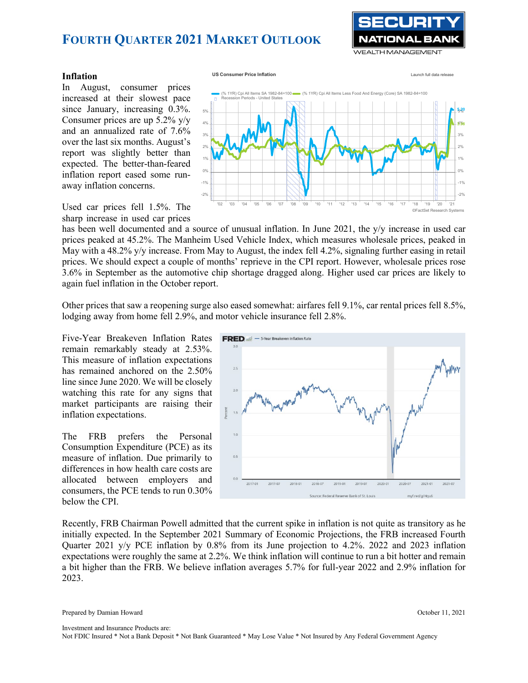

### **Inflation**

In August, consumer prices increased at their slowest pace since January, increasing 0.3%. Consumer prices are up 5.2% y/y and an annualized rate of 7.6% over the last six months. August's report was slightly better than expected. The better-than-feared inflation report eased some runaway inflation concerns.



Used car prices fell 1.5%. The sharp increase in used car prices

has been well documented and a source of unusual inflation. In June 2021, the y/y increase in used car prices peaked at 45.2%. The Manheim Used Vehicle Index, which measures wholesale prices, peaked in May with a 48.2% y/y increase. From May to August, the index fell 4.2%, signaling further easing in retail prices. We should expect a couple of months' reprieve in the CPI report. However, wholesale prices rose 3.6% in September as the automotive chip shortage dragged along. Higher used car prices are likely to again fuel inflation in the October report.

Other prices that saw a reopening surge also eased somewhat: airfares fell 9.1%, car rental prices fell 8.5%, lodging away from home fell 2.9%, and motor vehicle insurance fell 2.8%.

Five-Year Breakeven Inflation Rates remain remarkably steady at 2.53%. This measure of inflation expectations has remained anchored on the 2.50% line since June 2020. We will be closely watching this rate for any signs that market participants are raising their inflation expectations.

The FRB prefers the Personal Consumption Expenditure (PCE) as its measure of inflation. Due primarily to differences in how health care costs are allocated between employers and consumers, the PCE tends to run 0.30% below the CPI.



Recently, FRB Chairman Powell admitted that the current spike in inflation is not quite as transitory as he initially expected. In the September 2021 Summary of Economic Projections, the FRB increased Fourth Quarter 2021 y/y PCE inflation by 0.8% from its June projection to 4.2%. 2022 and 2023 inflation expectations were roughly the same at 2.2%. We think inflation will continue to run a bit hotter and remain a bit higher than the FRB. We believe inflation averages 5.7% for full-year 2022 and 2.9% inflation for 2023.

Prepared by Damian Howard October 11, 2021

Investment and Insurance Products are: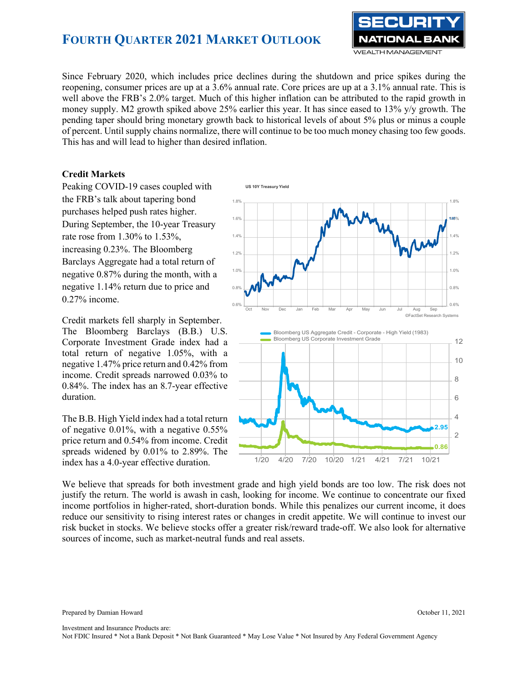

Since February 2020, which includes price declines during the shutdown and price spikes during the reopening, consumer prices are up at a 3.6% annual rate. Core prices are up at a 3.1% annual rate. This is well above the FRB's 2.0% target. Much of this higher inflation can be attributed to the rapid growth in money supply. M2 growth spiked above 25% earlier this year. It has since eased to 13% y/y growth. The pending taper should bring monetary growth back to historical levels of about 5% plus or minus a couple of percent. Until supply chains normalize, there will continue to be too much money chasing too few goods. This has and will lead to higher than desired inflation.

### **Credit Markets**

Peaking COVID-19 cases coupled with the FRB's talk about tapering bond purchases helped push rates higher. During September, the 10-year Treasury rate rose from 1.30% to 1.53%, increasing 0.23%. The Bloomberg Barclays Aggregate had a total return of negative 0.87% during the month, with a negative 1.14% return due to price and 0.27% income.

Credit markets fell sharply in September. The Bloomberg Barclays (B.B.) U.S. Corporate Investment Grade index had a total return of negative 1.05%, with a negative 1.47% price return and 0.42% from income. Credit spreads narrowed 0.03% to 0.84%. The index has an 8.7-year effective duration.

The B.B. High Yield index had a total return of negative 0.01%, with a negative 0.55% price return and 0.54% from income. Credit spreads widened by 0.01% to 2.89%. The index has a 4.0-year effective duration.



We believe that spreads for both investment grade and high yield bonds are too low. The risk does not justify the return. The world is awash in cash, looking for income. We continue to concentrate our fixed income portfolios in higher-rated, short-duration bonds. While this penalizes our current income, it does reduce our sensitivity to rising interest rates or changes in credit appetite. We will continue to invest our risk bucket in stocks. We believe stocks offer a greater risk/reward trade-off. We also look for alternative sources of income, such as market-neutral funds and real assets.

Prepared by Damian Howard October 11, 2021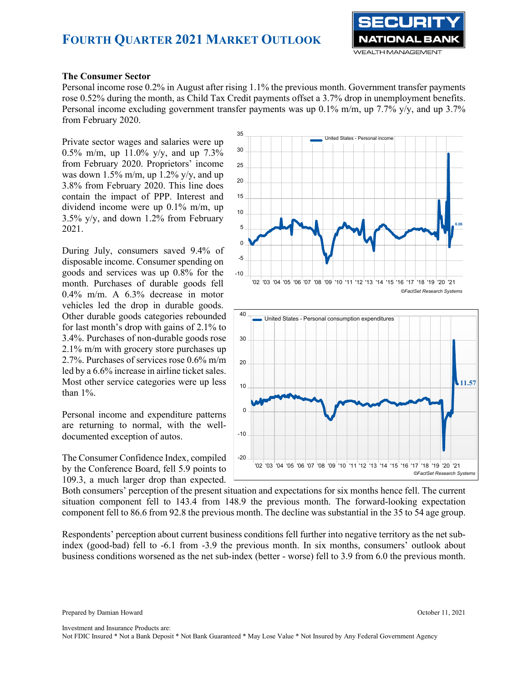

#### **The Consumer Sector**

Personal income rose 0.2% in August after rising 1.1% the previous month. Government transfer payments rose 0.52% during the month, as Child Tax Credit payments offset a 3.7% drop in unemployment benefits. Personal income excluding government transfer payments was up 0.1% m/m, up 7.7% y/y, and up 3.7% from February 2020.

Private sector wages and salaries were up 0.5% m/m, up 11.0% y/y, and up 7.3% from February 2020. Proprietors' income was down  $1.5\%$  m/m, up  $1.2\%$  y/y, and up 3.8% from February 2020. This line does contain the impact of PPP. Interest and dividend income were up 0.1% m/m, up 3.5% y/y, and down 1.2% from February 2021.

During July, consumers saved 9.4% of disposable income. Consumer spending on goods and services was up 0.8% for the month. Purchases of durable goods fell 0.4% m/m. A 6.3% decrease in motor vehicles led the drop in durable goods. Other durable goods categories rebounded for last month's drop with gains of 2.1% to 3.4%. Purchases of non-durable goods rose 2.1% m/m with grocery store purchases up 2.7%. Purchases of services rose 0.6% m/m led by a 6.6% increase in airline ticket sales. Most other service categories were up less than 1%.

Personal income and expenditure patterns are returning to normal, with the welldocumented exception of autos.

The Consumer Confidence Index, compiled by the Conference Board, fell 5.9 points to 109.3, a much larger drop than expected.





Both consumers' perception of the present situation and expectations for six months hence fell. The current situation component fell to 143.4 from 148.9 the previous month. The forward-looking expectation component fell to 86.6 from 92.8 the previous month. The decline was substantial in the 35 to 54 age group.

Respondents' perception about current business conditions fell further into negative territory as the net subindex (good-bad) fell to -6.1 from -3.9 the previous month. In six months, consumers' outlook about business conditions worsened as the net sub-index (better - worse) fell to 3.9 from 6.0 the previous month.

Investment and Insurance Products are: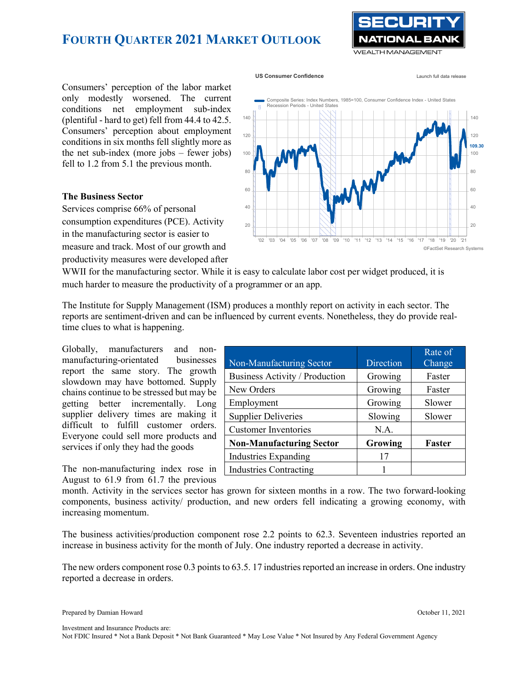

**US** Consumer Confidence **Launch full data release** 

Consumers' perception of the labor market only modestly worsened. The current conditions net employment sub-index (plentiful - hard to get) fell from 44.4 to 42.5. Consumers' perception about employment conditions in six months fell slightly more as the net sub-index (more jobs – fewer jobs) fell to 1.2 from 5.1 the previous month.

#### **The Business Sector**

Services comprise 66% of personal consumption expenditures (PCE). Activity in the manufacturing sector is easier to measure and track. Most of our growth and productivity measures were developed after



WWII for the manufacturing sector. While it is easy to calculate labor cost per widget produced, it is much harder to measure the productivity of a programmer or an app.

The Institute for Supply Management (ISM) produces a monthly report on activity in each sector. The reports are sentiment-driven and can be influenced by current events. Nonetheless, they do provide realtime clues to what is happening.

Globally, manufacturers and nonmanufacturing-orientated businesses report the same story. The growth slowdown may have bottomed. Supply chains continue to be stressed but may be getting better incrementally. Long supplier delivery times are making it difficult to fulfill customer orders. Everyone could sell more products and services if only they had the goods

The non-manufacturing index rose in August to 61.9 from 61.7 the previous

|                                 |           | Rate of |
|---------------------------------|-----------|---------|
| Non-Manufacturing Sector        | Direction | Change  |
| Business Activity / Production  | Growing   | Faster  |
| New Orders                      | Growing   | Faster  |
| Employment                      | Growing   | Slower  |
| <b>Supplier Deliveries</b>      | Slowing   | Slower  |
| <b>Customer Inventories</b>     | N.A.      |         |
| <b>Non-Manufacturing Sector</b> | Growing   | Faster  |
| Industries Expanding            |           |         |
| <b>Industries Contracting</b>   |           |         |

month. Activity in the services sector has grown for sixteen months in a row. The two forward-looking components, business activity/ production, and new orders fell indicating a growing economy, with increasing momentum.

The business activities/production component rose 2.2 points to 62.3. Seventeen industries reported an increase in business activity for the month of July. One industry reported a decrease in activity.

The new orders component rose 0.3 points to 63.5. 17 industries reported an increase in orders. One industry reported a decrease in orders.

Investment and Insurance Products are: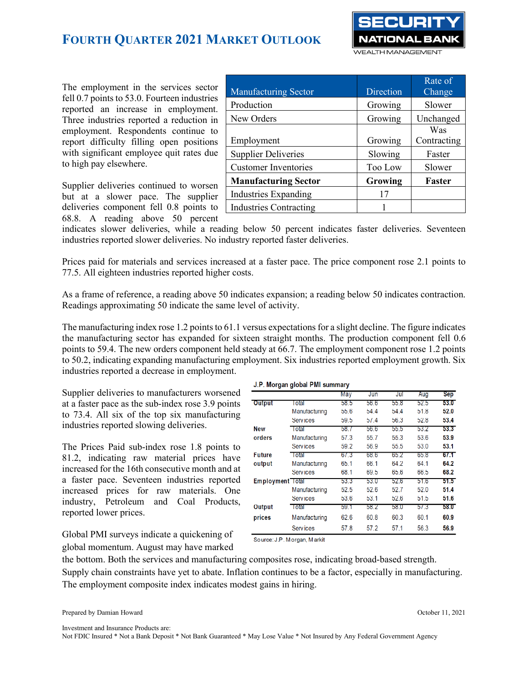

The employment in the services sector fell 0.7 points to 53.0. Fourteen industries reported an increase in employment. Three industries reported a reduction in employment. Respondents continue to report difficulty filling open positions with significant employee quit rates due to high pay elsewhere.

Supplier deliveries continued to worsen but at a slower pace. The supplier deliveries component fell 0.8 points to 68.8. A reading above 50 percent

| <b>Manufacturing Sector</b>   | Direction      | Rate of<br>Change |  |
|-------------------------------|----------------|-------------------|--|
| Production                    | Growing        | Slower            |  |
| New Orders                    | Growing        | Unchanged         |  |
|                               |                | Was               |  |
| Employment                    | Growing        | Contracting       |  |
| <b>Supplier Deliveries</b>    | Slowing        | Faster            |  |
| <b>Customer Inventories</b>   | <b>Too Low</b> | Slower            |  |
| <b>Manufacturing Sector</b>   | Growing        | <b>Faster</b>     |  |
| <b>Industries Expanding</b>   | 17             |                   |  |
| <b>Industries Contracting</b> |                |                   |  |

indicates slower deliveries, while a reading below 50 percent indicates faster deliveries. Seventeen industries reported slower deliveries. No industry reported faster deliveries.

Prices paid for materials and services increased at a faster pace. The price component rose 2.1 points to 77.5. All eighteen industries reported higher costs.

As a frame of reference, a reading above 50 indicates expansion; a reading below 50 indicates contraction. Readings approximating 50 indicate the same level of activity.

The manufacturing index rose 1.2 points to 61.1 versus expectations for a slight decline. The figure indicates the manufacturing sector has expanded for sixteen straight months. The production component fell 0.6 points to 59.4. The new orders component held steady at 66.7. The employment component rose 1.2 points to 50.2, indicating expanding manufacturing employment. Six industries reported employment growth. Six industries reported a decrease in employment.

Supplier deliveries to manufacturers worsened at a faster pace as the sub-index rose 3.9 points to 73.4. All six of the top six manufacturing industries reported slowing deliveries.

The Prices Paid sub-index rose 1.8 points to 81.2, indicating raw material prices have increased for the 16th consecutive month and at a faster pace. Seventeen industries reported increased prices for raw materials. One industry, Petroleum and Coal Products, reported lower prices.

J.P. Morgan global PMI summary

|                         |                 | May  | Jun  | Jul  | Aug  | Sep  |
|-------------------------|-----------------|------|------|------|------|------|
| <b>Output</b>           | l otal          | 58.5 | 56.6 | 55.8 | 52.5 | 53.0 |
|                         | Manufacturing   | 55.6 | 54.4 | 54.4 | 51.8 | 52.0 |
|                         | Services        | 59.5 | 51.4 | 56.3 | 52.8 | 53.4 |
| <b>New</b>              | <b>Total</b>    | 58.7 | 56.6 | 55.5 | 53.2 | 53.3 |
| orders                  | Manufacturing   | 57.3 | 55.7 | 55.3 | 53.6 | 53.9 |
|                         | Services        | 59.2 | 56.9 | 55.5 | 53.0 | 53.1 |
| Future                  | <b>Total</b>    | 67.3 | 68.6 | 65.2 | 65.8 | 67.1 |
| output                  | Manufacturing   | 65.1 | 66.1 | 64.2 | 64.1 | 64.2 |
|                         | <b>Services</b> | 68.1 | 69.5 | 65.6 | 66.5 | 68.2 |
| <b>Employment</b> Total |                 | 53.3 | 53.0 | 52.6 | 51.6 | 51.5 |
|                         | Manufacturing   | 52.5 | 52.6 | 52.7 | 52.0 | 51.4 |
|                         | <b>Services</b> | 53.6 | 53.1 | 52.6 | 51.5 | 51.6 |
| Output                  | Total           | 59.1 | 58.2 | 58.0 | 57.3 | 58.0 |
| prices                  | Manufacturing   | 62.6 | 60.8 | 60.3 | 60.1 | 60.9 |
|                         | Services        | 57.8 | 57.2 | 57.1 | 56.3 | 56.9 |

Global PMI surveys indicate a quickening of global momentum. August may have marked

Source: J.P. Morgan, Markit

the bottom. Both the services and manufacturing composites rose, indicating broad-based strength. Supply chain constraints have yet to abate. Inflation continues to be a factor, especially in manufacturing. The employment composite index indicates modest gains in hiring.

Prepared by Damian Howard October 11, 2021

Investment and Insurance Products are: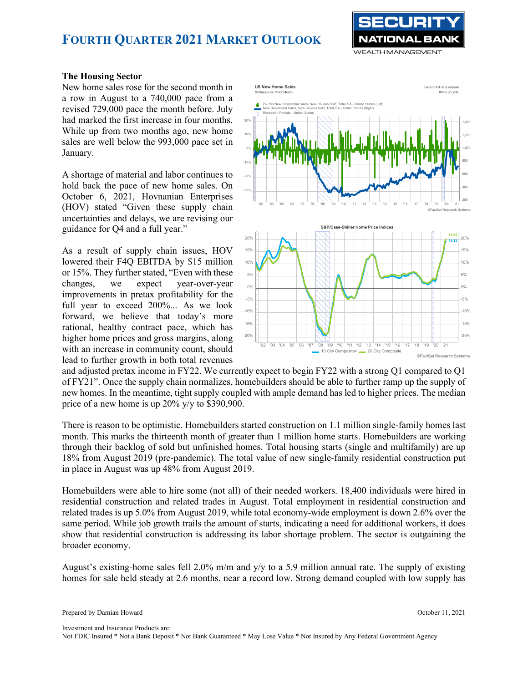

### **The Housing Sector**

New home sales rose for the second month in a row in August to a 740,000 pace from a revised 729,000 pace the month before. July had marked the first increase in four months. While up from two months ago, new home sales are well below the 993,000 pace set in January.

A shortage of material and labor continues to hold back the pace of new home sales. On October 6, 2021, Hovnanian Enterprises (HOV) stated "Given these supply chain uncertainties and delays, we are revising our guidance for Q4 and a full year."

As a result of supply chain issues, HOV lowered their F4Q EBITDA by \$15 million or 15%. They further stated, "Even with these changes, we expect year-over-year improvements in pretax profitability for the full year to exceed 200%... As we look forward, we believe that today's more rational, healthy contract pace, which has higher home prices and gross margins, along with an increase in community count, should lead to further growth in both total revenues



and adjusted pretax income in FY22. We currently expect to begin FY22 with a strong Q1 compared to Q1 of FY21". Once the supply chain normalizes, homebuilders should be able to further ramp up the supply of new homes. In the meantime, tight supply coupled with ample demand has led to higher prices. The median price of a new home is up 20% y/y to \$390,900.

There is reason to be optimistic. Homebuilders started construction on 1.1 million single-family homes last month. This marks the thirteenth month of greater than 1 million home starts. Homebuilders are working through their backlog of sold but unfinished homes. Total housing starts (single and multifamily) are up 18% from August 2019 (pre-pandemic). The total value of new single-family residential construction put in place in August was up 48% from August 2019.

Homebuilders were able to hire some (not all) of their needed workers. 18,400 individuals were hired in residential construction and related trades in August. Total employment in residential construction and related trades is up 5.0% from August 2019, while total economy-wide employment is down 2.6% over the same period. While job growth trails the amount of starts, indicating a need for additional workers, it does show that residential construction is addressing its labor shortage problem. The sector is outgaining the broader economy.

August's existing-home sales fell 2.0% m/m and y/y to a 5.9 million annual rate. The supply of existing homes for sale held steady at 2.6 months, near a record low. Strong demand coupled with low supply has